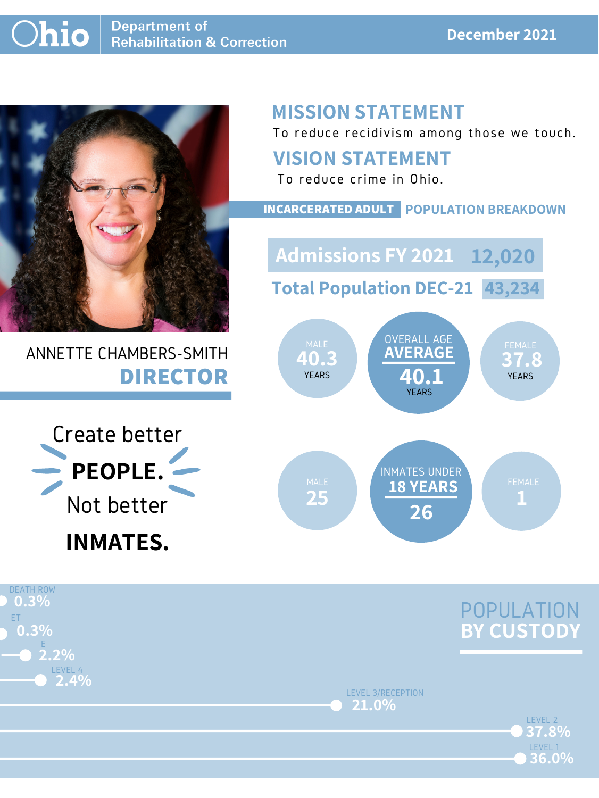

### ANNETTE CHAMBERS-SMITH **DIRECTOR**

## **MISSION STATEMENT**

To reduce recidivism among those we touch.





### **VISION STATEMENT**

To reduce crime in Ohio.



#### **INCARCERATED ADULT POPULATION BREAKDOWN**

**Total Population DEC-21 43,234**

**Admissions FY 2021 12,020**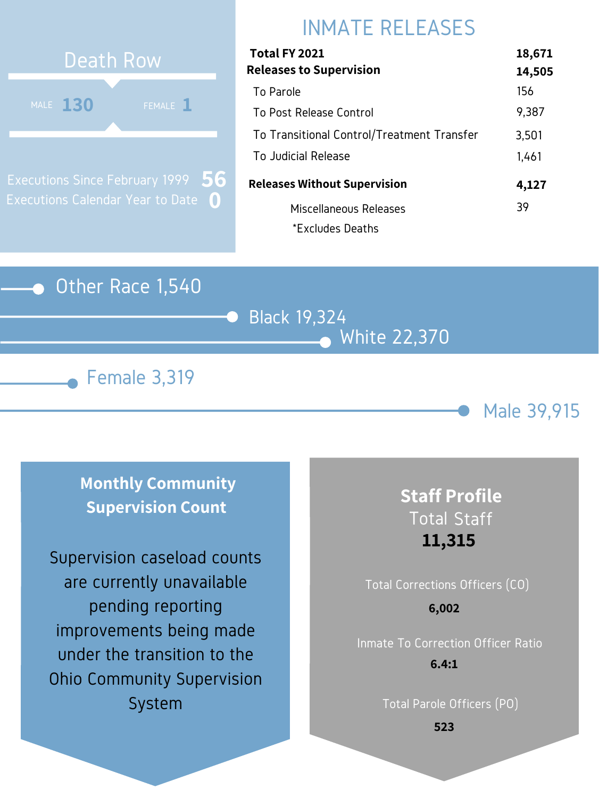#### Other Race 1,540

Black 19,324 White 22,370





# INMATE RELEASES



Executions Since February 1999 Executions Calendar Year to Date **0 56**

| Total FY 2021                              | 18,671 |
|--------------------------------------------|--------|
| <b>Releases to Supervision</b>             | 14,505 |
| To Parole                                  | 156    |
| To Post Release Control                    | 9,387  |
| To Transitional Control/Treatment Transfer | 3,501  |
| To Judicial Release                        | 1,461  |
| <b>Releases Without Supervision</b>        | 4,127  |
| Miscellaneous Releases                     | 39     |
| *Excludes Deaths                           |        |

**Monthly Community Supervision Count**

# Total Corrections Officers (CO) **6,002**

### **Staff Profile** Total Staff **11,315**

Inmate To Correction Officer Ratio **6.4:1**

Total Parole Officers (PO)

**523**

Supervision caseload counts are currently unavailable pending reporting improvements being made under the transition to the Ohio Community Supervision System